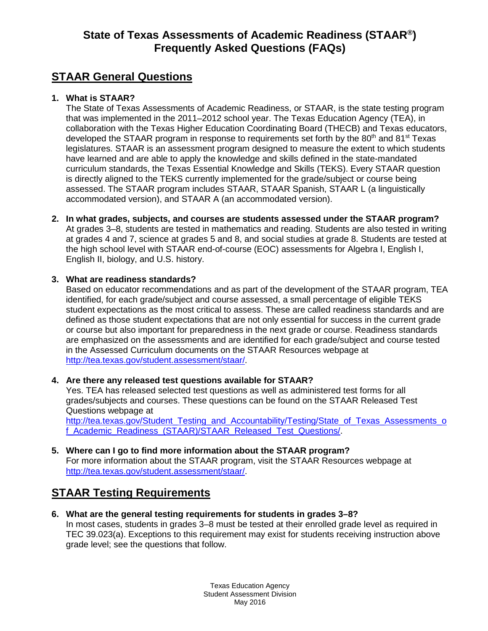# **State of Texas Assessments of Academic Readiness (STAAR®) Frequently Asked Questions (FAQs)**

# **STAAR General Questions**

## **1. What is STAAR?**

The State of Texas Assessments of Academic Readiness, or STAAR, is the state testing program that was implemented in the 2011–2012 school year. The Texas Education Agency (TEA), in collaboration with the Texas Higher Education Coordinating Board (THECB) and Texas educators, developed the STAAR program in response to requirements set forth by the  $80<sup>th</sup>$  and  $81<sup>st</sup>$  Texas legislatures. STAAR is an assessment program designed to measure the extent to which students have learned and are able to apply the knowledge and skills defined in the state-mandated curriculum standards, the Texas Essential Knowledge and Skills (TEKS). Every STAAR question is directly aligned to the TEKS currently implemented for the grade/subject or course being assessed. The STAAR program includes STAAR, STAAR Spanish, STAAR L (a linguistically accommodated version), and STAAR A (an accommodated version).

**2. In what grades, subjects, and courses are students assessed under the STAAR program?**  At grades 3–8, students are tested in mathematics and reading. Students are also tested in writing at grades 4 and 7, science at grades 5 and 8, and social studies at grade 8. Students are tested at the high school level with STAAR end-of-course (EOC) assessments for Algebra I, English I, English II, biology, and U.S. history.

## **3. What are readiness standards?**

Based on educator recommendations and as part of the development of the STAAR program, TEA identified, for each grade/subject and course assessed, a small percentage of eligible TEKS student expectations as the most critical to assess. These are called readiness standards and are defined as those student expectations that are not only essential for success in the current grade or course but also important for preparedness in the next grade or course. Readiness standards are emphasized on the assessments and are identified for each grade/subject and course tested in the Assessed Curriculum documents on the STAAR Resources webpage at [http://tea.texas.gov/student.assessment/staar/.](http://tea.texas.gov/student.assessment/staar/)

## **4. Are there any released test questions available for STAAR?**

Yes. TEA has released selected test questions as well as administered test forms for all grades/subjects and courses. These questions can be found on the STAAR Released Test Questions webpage at

[http://tea.texas.gov/Student\\_Testing\\_and\\_Accountability/Testing/State\\_of\\_Texas\\_Assessments\\_o](http://tea.texas.gov/Student_Testing_and_Accountability/Testing/State_of_Texas_Assessments_of_Academic_Readiness_(STAAR)/STAAR_Released_Test_Questions/) [f\\_Academic\\_Readiness\\_\(STAAR\)/STAAR\\_Released\\_Test\\_Questions/.](http://tea.texas.gov/Student_Testing_and_Accountability/Testing/State_of_Texas_Assessments_of_Academic_Readiness_(STAAR)/STAAR_Released_Test_Questions/)

**5. Where can I go to find more information about the STAAR program?**  For more information about the STAAR program, visit the STAAR Resources webpage at [http://tea.texas.gov/student.assessment/staar/.](http://tea.texas.gov/student.assessment/staar/)

# **STAAR Testing Requirements**

**6. What are the general testing requirements for students in grades 3–8?** In most cases, students in grades 3–8 must be tested at their enrolled grade level as required in TEC 39.023(a). Exceptions to this requirement may exist for students receiving instruction above grade level; see the questions that follow.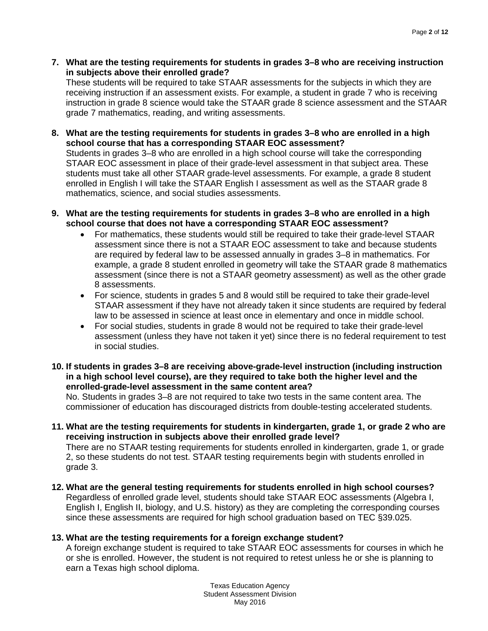**7. What are the testing requirements for students in grades 3–8 who are receiving instruction in subjects above their enrolled grade?**

These students will be required to take STAAR assessments for the subjects in which they are receiving instruction if an assessment exists. For example, a student in grade 7 who is receiving instruction in grade 8 science would take the STAAR grade 8 science assessment and the STAAR grade 7 mathematics, reading, and writing assessments.

**8. What are the testing requirements for students in grades 3–8 who are enrolled in a high school course that has a corresponding STAAR EOC assessment?**

Students in grades 3–8 who are enrolled in a high school course will take the corresponding STAAR EOC assessment in place of their grade-level assessment in that subject area. These students must take all other STAAR grade-level assessments. For example, a grade 8 student enrolled in English I will take the STAAR English I assessment as well as the STAAR grade 8 mathematics, science, and social studies assessments.

- **9. What are the testing requirements for students in grades 3–8 who are enrolled in a high school course that does not have a corresponding STAAR EOC assessment?**
	- For mathematics, these students would still be required to take their grade-level STAAR assessment since there is not a STAAR EOC assessment to take and because students are required by federal law to be assessed annually in grades 3–8 in mathematics. For example, a grade 8 student enrolled in geometry will take the STAAR grade 8 mathematics assessment (since there is not a STAAR geometry assessment) as well as the other grade 8 assessments.
	- For science, students in grades 5 and 8 would still be required to take their grade-level STAAR assessment if they have not already taken it since students are required by federal law to be assessed in science at least once in elementary and once in middle school.
	- For social studies, students in grade 8 would not be required to take their grade-level assessment (unless they have not taken it yet) since there is no federal requirement to test in social studies.
- **10. If students in grades 3–8 are receiving above-grade-level instruction (including instruction in a high school level course), are they required to take both the higher level and the enrolled-grade-level assessment in the same content area?**

No. Students in grades 3–8 are not required to take two tests in the same content area. The commissioner of education has discouraged districts from double-testing accelerated students.

**11. What are the testing requirements for students in kindergarten, grade 1, or grade 2 who are receiving instruction in subjects above their enrolled grade level?**

There are no STAAR testing requirements for students enrolled in kindergarten, grade 1, or grade 2, so these students do not test. STAAR testing requirements begin with students enrolled in grade 3.

**12. What are the general testing requirements for students enrolled in high school courses?** Regardless of enrolled grade level, students should take STAAR EOC assessments (Algebra I, English I, English II, biology, and U.S. history) as they are completing the corresponding courses since these assessments are required for high school graduation based on TEC §39.025.

## **13. What are the testing requirements for a foreign exchange student?**

A foreign exchange student is required to take STAAR EOC assessments for courses in which he or she is enrolled. However, the student is not required to retest unless he or she is planning to earn a Texas high school diploma.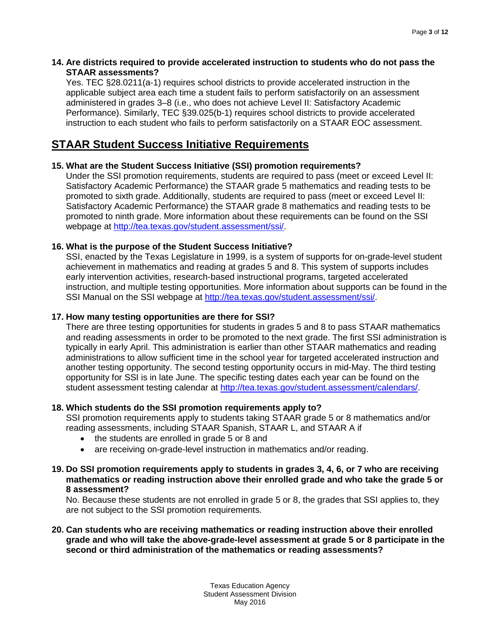### **14. Are districts required to provide accelerated instruction to students who do not pass the STAAR assessments?**

Yes. TEC §28.0211(a-1) requires school districts to provide accelerated instruction in the applicable subject area each time a student fails to perform satisfactorily on an assessment administered in grades 3–8 (i.e., who does not achieve Level II: Satisfactory Academic Performance). Similarly, TEC §39.025(b-1) requires school districts to provide accelerated instruction to each student who fails to perform satisfactorily on a STAAR EOC assessment.

# **STAAR Student Success Initiative Requirements**

## **15. What are the Student Success Initiative (SSI) promotion requirements?**

Under the SSI promotion requirements, students are required to pass (meet or exceed Level II: Satisfactory Academic Performance) the STAAR grade 5 mathematics and reading tests to be promoted to sixth grade. Additionally, students are required to pass (meet or exceed Level II: Satisfactory Academic Performance) the STAAR grade 8 mathematics and reading tests to be promoted to ninth grade. More information about these requirements can be found on the SSI webpage at [http://tea.texas.gov/student.assessment/ssi/.](http://tea.texas.gov/student.assessment/ssi/)

## **16. What is the purpose of the Student Success Initiative?**

SSI, enacted by the Texas Legislature in 1999, is a system of supports for on-grade-level student achievement in mathematics and reading at grades 5 and 8. This system of supports includes early intervention activities, research-based instructional programs, targeted accelerated instruction, and multiple testing opportunities. More information about supports can be found in the SSI Manual on the SSI webpage at [http://tea.texas.gov/student.assessment/ssi/.](http://tea.texas.gov/student.assessment/ssi/)

## **17. How many testing opportunities are there for SSI?**

There are three testing opportunities for students in grades 5 and 8 to pass STAAR mathematics and reading assessments in order to be promoted to the next grade. The first SSI administration is typically in early April. This administration is earlier than other STAAR mathematics and reading administrations to allow sufficient time in the school year for targeted accelerated instruction and another testing opportunity. The second testing opportunity occurs in mid-May. The third testing opportunity for SSI is in late June. The specific testing dates each year can be found on the student assessment testing calendar at [http://tea.texas.gov/student.assessment/calendars/.](http://tea.texas.gov/student.assessment/calendars/)

## **18. Which students do the SSI promotion requirements apply to?**

SSI promotion requirements apply to students taking STAAR grade 5 or 8 mathematics and/or reading assessments, including STAAR Spanish, STAAR L, and STAAR A if

- the students are enrolled in grade 5 or 8 and
- are receiving on-grade-level instruction in mathematics and/or reading.

#### **19. Do SSI promotion requirements apply to students in grades 3, 4, 6, or 7 who are receiving mathematics or reading instruction above their enrolled grade and who take the grade 5 or 8 assessment?**

No. Because these students are not enrolled in grade 5 or 8, the grades that SSI applies to, they are not subject to the SSI promotion requirements.

**20. Can students who are receiving mathematics or reading instruction above their enrolled grade and who will take the above-grade-level assessment at grade 5 or 8 participate in the second or third administration of the mathematics or reading assessments?**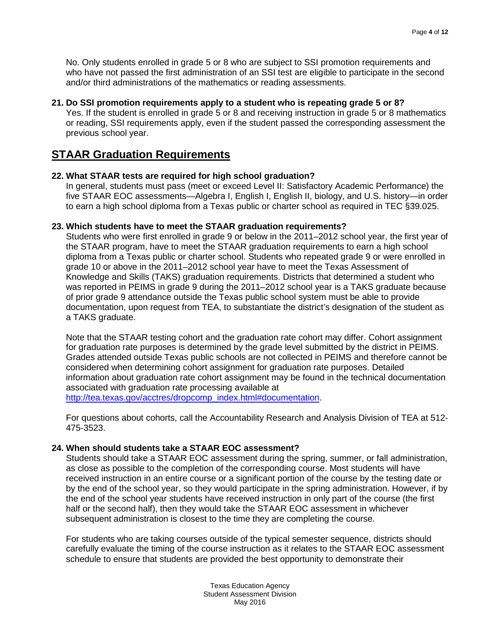No. Only students enrolled in grade 5 or 8 who are subject to SSI promotion requirements and who have not passed the first administration of an SSI test are eligible to participate in the second and/or third administrations of the mathematics or reading assessments.

### **21. Do SSI promotion requirements apply to a student who is repeating grade 5 or 8?**

Yes. If the student is enrolled in grade 5 or 8 and receiving instruction in grade 5 or 8 mathematics or reading, SSI requirements apply, even if the student passed the corresponding assessment the previous school year.

# **STAAR Graduation Requirements**

### **22. What STAAR tests are required for high school graduation?**

In general, students must pass (meet or exceed Level II: Satisfactory Academic Performance) the five STAAR EOC assessments—Algebra I, English I, English II, biology, and U.S. history—in order to earn a high school diploma from a Texas public or charter school as required in TEC §39.025.

### **23. Which students have to meet the STAAR graduation requirements?**

Students who were first enrolled in grade 9 or below in the 2011–2012 school year, the first year of the STAAR program, have to meet the STAAR graduation requirements to earn a high school diploma from a Texas public or charter school. Students who repeated grade 9 or were enrolled in grade 10 or above in the 2011–2012 school year have to meet the Texas Assessment of Knowledge and Skills (TAKS) graduation requirements. Districts that determined a student who was reported in PEIMS in grade 9 during the 2011–2012 school year is a TAKS graduate because of prior grade 9 attendance outside the Texas public school system must be able to provide documentation, upon request from TEA, to substantiate the district's designation of the student as a TAKS graduate.

Note that the STAAR testing cohort and the graduation rate cohort may differ. Cohort assignment for graduation rate purposes is determined by the grade level submitted by the district in PEIMS. Grades attended outside Texas public schools are not collected in PEIMS and therefore cannot be considered when determining cohort assignment for graduation rate purposes. Detailed information about graduation rate cohort assignment may be found in the technical documentation associated with graduation rate processing available at [http://tea.texas.gov/acctres/dropcomp\\_index.html#documentation.](http://tea.texas.gov/acctres/dropcomp_index.html#documentation)

For questions about cohorts, call the Accountability Research and Analysis Division of TEA at 512- 475-3523.

## **24. When should students take a STAAR EOC assessment?**

Students should take a STAAR EOC assessment during the spring, summer, or fall administration, as close as possible to the completion of the corresponding course. Most students will have received instruction in an entire course or a significant portion of the course by the testing date or by the end of the school year, so they would participate in the spring administration. However, if by the end of the school year students have received instruction in only part of the course (the first half or the second half), then they would take the STAAR EOC assessment in whichever subsequent administration is closest to the time they are completing the course.

For students who are taking courses outside of the typical semester sequence, districts should carefully evaluate the timing of the course instruction as it relates to the STAAR EOC assessment schedule to ensure that students are provided the best opportunity to demonstrate their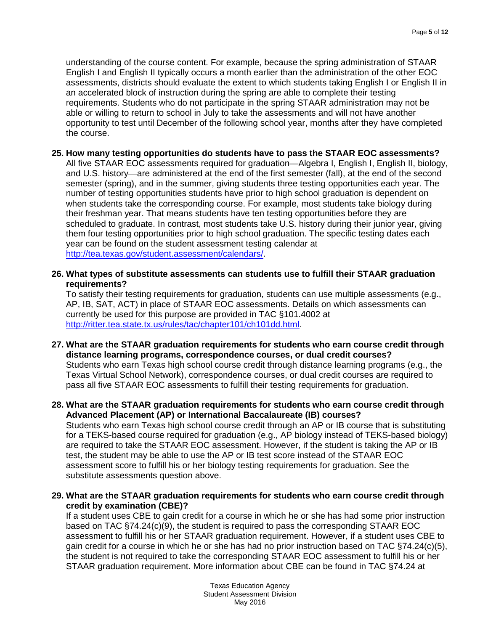understanding of the course content. For example, because the spring administration of STAAR English I and English II typically occurs a month earlier than the administration of the other EOC assessments, districts should evaluate the extent to which students taking English I or English II in an accelerated block of instruction during the spring are able to complete their testing requirements. Students who do not participate in the spring STAAR administration may not be able or willing to return to school in July to take the assessments and will not have another opportunity to test until December of the following school year, months after they have completed the course.

### **25. How many testing opportunities do students have to pass the STAAR EOC assessments?**

All five STAAR EOC assessments required for graduation—Algebra I, English I, English II, biology, and U.S. history—are administered at the end of the first semester (fall), at the end of the second semester (spring), and in the summer, giving students three testing opportunities each year. The number of testing opportunities students have prior to high school graduation is dependent on when students take the corresponding course. For example, most students take biology during their freshman year. That means students have ten testing opportunities before they are scheduled to graduate. In contrast, most students take U.S. history during their junior year, giving them four testing opportunities prior to high school graduation. The specific testing dates each year can be found on the student assessment testing calendar at [http://tea.texas.gov/student.assessment/calendars/.](http://tea.texas.gov/student.assessment/calendars/)

### **26. What types of substitute assessments can students use to fulfill their STAAR graduation requirements?**

To satisfy their testing requirements for graduation, students can use multiple assessments (e.g., AP, IB, SAT, ACT) in place of STAAR EOC assessments. Details on which assessments can currently be used for this purpose are provided in TAC §101.4002 at [http://ritter.tea.state.tx.us/rules/tac/chapter101/ch101dd.html.](http://ritter.tea.state.tx.us/rules/tac/chapter101/ch101dd.html)

### **27. What are the STAAR graduation requirements for students who earn course credit through distance learning programs, correspondence courses, or dual credit courses?** Students who earn Texas high school course credit through distance learning programs (e.g., the Texas Virtual School Network), correspondence courses, or dual credit courses are required to pass all five STAAR EOC assessments to fulfill their testing requirements for graduation.

### **28. What are the STAAR graduation requirements for students who earn course credit through Advanced Placement (AP) or International Baccalaureate (IB) courses?**

Students who earn Texas high school course credit through an AP or IB course that is substituting for a TEKS-based course required for graduation (e.g., AP biology instead of TEKS-based biology) are required to take the STAAR EOC assessment. However, if the student is taking the AP or IB test, the student may be able to use the AP or IB test score instead of the STAAR EOC assessment score to fulfill his or her biology testing requirements for graduation. See the substitute assessments question above.

### **29. What are the STAAR graduation requirements for students who earn course credit through credit by examination (CBE)?**

If a student uses CBE to gain credit for a course in which he or she has had some prior instruction based on TAC §74.24(c)(9), the student is required to pass the corresponding STAAR EOC assessment to fulfill his or her STAAR graduation requirement. However, if a student uses CBE to gain credit for a course in which he or she has had no prior instruction based on TAC §74.24(c)(5), the student is not required to take the corresponding STAAR EOC assessment to fulfill his or her STAAR graduation requirement. More information about CBE can be found in TAC §74.24 at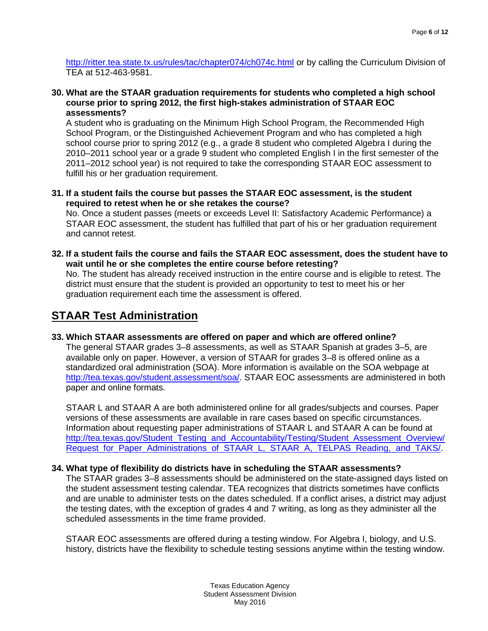<http://ritter.tea.state.tx.us/rules/tac/chapter074/ch074c.html> or by calling the Curriculum Division of TEA at 512-463-9581.

**30. What are the STAAR graduation requirements for students who completed a high school course prior to spring 2012, the first high-stakes administration of STAAR EOC assessments?**

A student who is graduating on the Minimum High School Program, the Recommended High School Program, or the Distinguished Achievement Program and who has completed a high school course prior to spring 2012 (e.g., a grade 8 student who completed Algebra I during the 2010–2011 school year or a grade 9 student who completed English I in the first semester of the 2011–2012 school year) is not required to take the corresponding STAAR EOC assessment to fulfill his or her graduation requirement.

**31. If a student fails the course but passes the STAAR EOC assessment, is the student required to retest when he or she retakes the course?**

No. Once a student passes (meets or exceeds Level II: Satisfactory Academic Performance) a STAAR EOC assessment, the student has fulfilled that part of his or her graduation requirement and cannot retest.

**32. If a student fails the course and fails the STAAR EOC assessment, does the student have to wait until he or she completes the entire course before retesting?**

No. The student has already received instruction in the entire course and is eligible to retest. The district must ensure that the student is provided an opportunity to test to meet his or her graduation requirement each time the assessment is offered.

# **STAAR Test Administration**

**33. Which STAAR assessments are offered on paper and which are offered online?** 

The general STAAR grades 3–8 assessments, as well as STAAR Spanish at grades 3–5, are available only on paper. However, a version of STAAR for grades 3–8 is offered online as a standardized oral administration (SOA). More information is available on the SOA webpage at [http://tea.texas.gov/student.assessment/soa/.](http://tea.texas.gov/student.assessment/soa/) STAAR EOC assessments are administered in both paper and online formats.

STAAR L and STAAR A are both administered online for all grades/subjects and courses. Paper versions of these assessments are available in rare cases based on specific circumstances. Information about requesting paper administrations of STAAR L and STAAR A can be found at [http://tea.texas.gov/Student\\_Testing\\_and\\_Accountability/Testing/Student\\_Assessment\\_Overview/](http://tea.texas.gov/Student_Testing_and_Accountability/Testing/Student_Assessment_Overview/Request_for_Paper_Administrations_of_STAAR_L,_STAAR_A,_TELPAS_Reading,_and_TAKS/) Request for Paper Administrations of STAAR L, STAAR A, TELPAS Reading, and TAKS/.

## **34. What type of flexibility do districts have in scheduling the STAAR assessments?**

The STAAR grades 3–8 assessments should be administered on the state-assigned days listed on the student assessment testing calendar. TEA recognizes that districts sometimes have conflicts and are unable to administer tests on the dates scheduled. If a conflict arises, a district may adjust the testing dates, with the exception of grades 4 and 7 writing, as long as they administer all the scheduled assessments in the time frame provided.

STAAR EOC assessments are offered during a testing window. For Algebra I, biology, and U.S. history, districts have the flexibility to schedule testing sessions anytime within the testing window.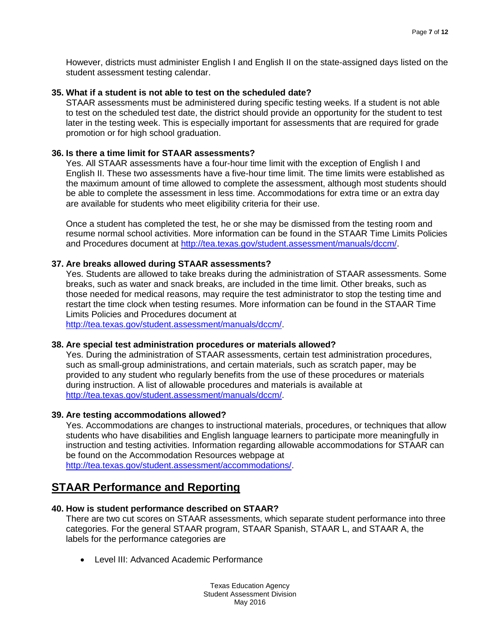However, districts must administer English I and English II on the state-assigned days listed on the student assessment testing calendar.

### **35. What if a student is not able to test on the scheduled date?**

STAAR assessments must be administered during specific testing weeks. If a student is not able to test on the scheduled test date, the district should provide an opportunity for the student to test later in the testing week. This is especially important for assessments that are required for grade promotion or for high school graduation.

#### **36. Is there a time limit for STAAR assessments?**

Yes. All STAAR assessments have a four-hour time limit with the exception of English I and English II. These two assessments have a five-hour time limit. The time limits were established as the maximum amount of time allowed to complete the assessment, although most students should be able to complete the assessment in less time. Accommodations for extra time or an extra day are available for students who meet eligibility criteria for their use.

Once a student has completed the test, he or she may be dismissed from the testing room and resume normal school activities. More information can be found in the STAAR Time Limits Policies and Procedures document at [http://tea.texas.gov/student.assessment/manuals/dccm/.](http://tea.texas.gov/student.assessment/manuals/dccm/)

#### **37. Are breaks allowed during STAAR assessments?**

Yes. Students are allowed to take breaks during the administration of STAAR assessments. Some breaks, such as water and snack breaks, are included in the time limit. Other breaks, such as those needed for medical reasons, may require the test administrator to stop the testing time and restart the time clock when testing resumes. More information can be found in the STAAR Time Limits Policies and Procedures document at

[http://tea.texas.gov/student.assessment/manuals/dccm/.](http://tea.texas.gov/student.assessment/manuals/dccm/)

#### **38. Are special test administration procedures or materials allowed?**

Yes. During the administration of STAAR assessments, certain test administration procedures, such as small-group administrations, and certain materials, such as scratch paper, may be provided to any student who regularly benefits from the use of these procedures or materials during instruction. A list of allowable procedures and materials is available at [http://tea.texas.gov/student.assessment/manuals/dccm/.](http://tea.texas.gov/student.assessment/manuals/dccm/)

#### **39. Are testing accommodations allowed?**

Yes. Accommodations are changes to instructional materials, procedures, or techniques that allow students who have disabilities and English language learners to participate more meaningfully in instruction and testing activities. Information regarding allowable accommodations for STAAR can be found on the Accommodation Resources webpage at

[http://tea.texas.gov/student.assessment/accommodations/.](http://tea.texas.gov/student.assessment/accommodations/)

## **STAAR Performance and Reporting**

#### **40. How is student performance described on STAAR?**

There are two cut scores on STAAR assessments, which separate student performance into three categories. For the general STAAR program, STAAR Spanish, STAAR L, and STAAR A, the labels for the performance categories are

• Level III: Advanced Academic Performance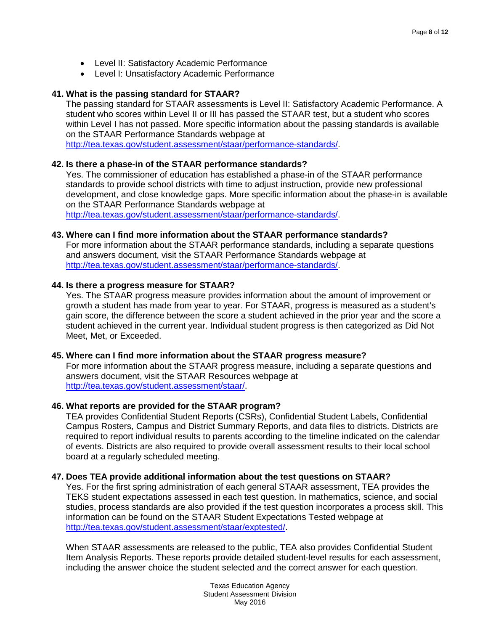- Level II: Satisfactory Academic Performance
- Level I: Unsatisfactory Academic Performance

### **41. What is the passing standard for STAAR?**

The passing standard for STAAR assessments is Level II: Satisfactory Academic Performance. A student who scores within Level II or III has passed the STAAR test, but a student who scores within Level I has not passed. More specific information about the passing standards is available on the STAAR Performance Standards webpage at [http://tea.texas.gov/student.assessment/staar/performance-standards/.](http://tea.texas.gov/student.assessment/staar/performance-standards/)

## **42. Is there a phase-in of the STAAR performance standards?**

Yes. The commissioner of education has established a phase-in of the STAAR performance standards to provide school districts with time to adjust instruction, provide new professional development, and close knowledge gaps. More specific information about the phase-in is available on the STAAR Performance Standards webpage at [http://tea.texas.gov/student.assessment/staar/performance-standards/.](http://tea.texas.gov/student.assessment/staar/performance-standards/)

### **43. Where can I find more information about the STAAR performance standards?**

For more information about the STAAR performance standards, including a separate questions and answers document, visit the STAAR Performance Standards webpage at http://tea.texas.gov/student.assessment/staar/performance-standards/

### **44. Is there a progress measure for STAAR?**

Yes. The STAAR progress measure provides information about the amount of improvement or growth a student has made from year to year. For STAAR, progress is measured as a student's gain score, the difference between the score a student achieved in the prior year and the score a student achieved in the current year. Individual student progress is then categorized as Did Not Meet, Met, or Exceeded.

#### **45. Where can I find more information about the STAAR progress measure?**

For more information about the STAAR progress measure, including a separate questions and answers document, visit the STAAR Resources webpage at [http://tea.texas.gov/student.assessment/staar/.](http://tea.texas.gov/student.assessment/staar/)

#### **46. What reports are provided for the STAAR program?**

TEA provides Confidential Student Reports (CSRs), Confidential Student Labels, Confidential Campus Rosters, Campus and District Summary Reports, and data files to districts. Districts are required to report individual results to parents according to the timeline indicated on the calendar of events. Districts are also required to provide overall assessment results to their local school board at a regularly scheduled meeting.

#### **47. Does TEA provide additional information about the test questions on STAAR?**

Yes. For the first spring administration of each general STAAR assessment, TEA provides the TEKS student expectations assessed in each test question. In mathematics, science, and social studies, process standards are also provided if the test question incorporates a process skill. This information can be found on the STAAR Student Expectations Tested webpage at [http://tea.texas.gov/student.assessment/staar/exptested/.](http://tea.texas.gov/student.assessment/staar/exptested/)

When STAAR assessments are released to the public, TEA also provides Confidential Student Item Analysis Reports. These reports provide detailed student-level results for each assessment, including the answer choice the student selected and the correct answer for each question.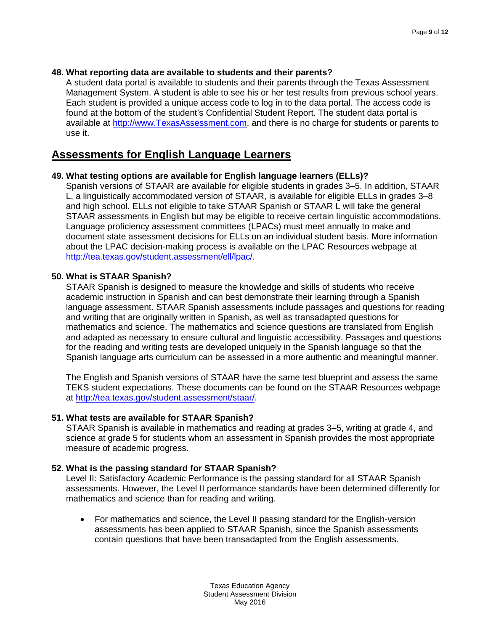### **48. What reporting data are available to students and their parents?**

A student data portal is available to students and their parents through the Texas Assessment Management System. A student is able to see his or her test results from previous school years. Each student is provided a unique access code to log in to the data portal. The access code is found at the bottom of the student's Confidential Student Report. The student data portal is available at [http://www.TexasAssessment.com,](http://www.texasassessment.com/) and there is no charge for students or parents to use it.

## **Assessments for English Language Learners**

## **49. What testing options are available for English language learners (ELLs)?**

Spanish versions of STAAR are available for eligible students in grades 3–5. In addition, STAAR L, a linguistically accommodated version of STAAR, is available for eligible ELLs in grades 3–8 and high school. ELLs not eligible to take STAAR Spanish or STAAR L will take the general STAAR assessments in English but may be eligible to receive certain linguistic accommodations. Language proficiency assessment committees (LPACs) must meet annually to make and document state assessment decisions for ELLs on an individual student basis. More information about the LPAC decision-making process is available on the LPAC Resources webpage at [http://tea.texas.gov/student.assessment/ell/lpac/.](http://tea.texas.gov/student.assessment/ell/lpac/)

### **50. What is STAAR Spanish?**

STAAR Spanish is designed to measure the knowledge and skills of students who receive academic instruction in Spanish and can best demonstrate their learning through a Spanish language assessment. STAAR Spanish assessments include passages and questions for reading and writing that are originally written in Spanish, as well as transadapted questions for mathematics and science. The mathematics and science questions are translated from English and adapted as necessary to ensure cultural and linguistic accessibility. Passages and questions for the reading and writing tests are developed uniquely in the Spanish language so that the Spanish language arts curriculum can be assessed in a more authentic and meaningful manner.

The English and Spanish versions of STAAR have the same test blueprint and assess the same TEKS student expectations. These documents can be found on the STAAR Resources webpage at [http://tea.texas.gov/student.assessment/staar/.](http://tea.texas.gov/student.assessment/staar/)

## **51. What tests are available for STAAR Spanish?**

STAAR Spanish is available in mathematics and reading at grades 3–5, writing at grade 4, and science at grade 5 for students whom an assessment in Spanish provides the most appropriate measure of academic progress.

## **52. What is the passing standard for STAAR Spanish?**

Level II: Satisfactory Academic Performance is the passing standard for all STAAR Spanish assessments. However, the Level II performance standards have been determined differently for mathematics and science than for reading and writing.

• For mathematics and science, the Level II passing standard for the English-version assessments has been applied to STAAR Spanish, since the Spanish assessments contain questions that have been transadapted from the English assessments.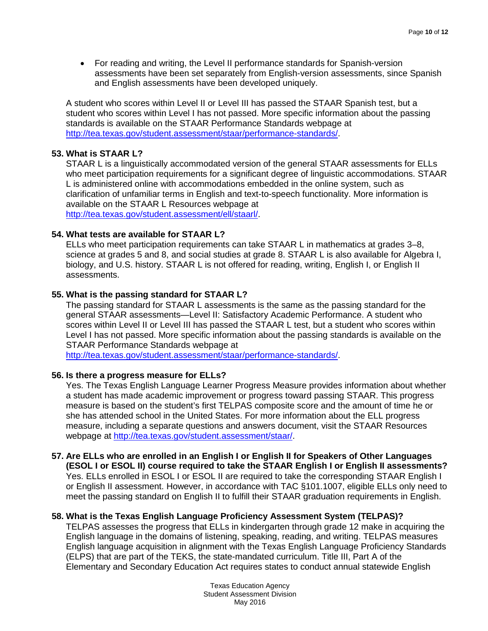• For reading and writing, the Level II performance standards for Spanish-version assessments have been set separately from English-version assessments, since Spanish and English assessments have been developed uniquely.

A student who scores within Level II or Level III has passed the STAAR Spanish test, but a student who scores within Level I has not passed. More specific information about the passing standards is available on the STAAR Performance Standards webpage at [http://tea.texas.gov/student.assessment/staar/performance-standards/.](http://tea.texas.gov/student.assessment/staar/performance-standards/)

### **53. What is STAAR L?**

STAAR L is a linguistically accommodated version of the general STAAR assessments for ELLs who meet participation requirements for a significant degree of linguistic accommodations. STAAR L is administered online with accommodations embedded in the online system, such as clarification of unfamiliar terms in English and text-to-speech functionality. More information is available on the STAAR L Resources webpage at [http://tea.texas.gov/student.assessment/ell/staarl/.](http://tea.texas.gov/student.assessment/ell/staarl/)

### **54. What tests are available for STAAR L?**

ELLs who meet participation requirements can take STAAR L in mathematics at grades 3–8, science at grades 5 and 8, and social studies at grade 8. STAAR L is also available for Algebra I, biology, and U.S. history. STAAR L is not offered for reading, writing, English I, or English II assessments.

### **55. What is the passing standard for STAAR L?**

The passing standard for STAAR L assessments is the same as the passing standard for the general STAAR assessments—Level II: Satisfactory Academic Performance. A student who scores within Level II or Level III has passed the STAAR L test, but a student who scores within Level I has not passed. More specific information about the passing standards is available on the STAAR Performance Standards webpage at

[http://tea.texas.gov/student.assessment/staar/performance-standards/.](http://tea.texas.gov/student.assessment/staar/performance-standards/)

#### **56. Is there a progress measure for ELLs?**

Yes. The Texas English Language Learner Progress Measure provides information about whether a student has made academic improvement or progress toward passing STAAR. This progress measure is based on the student's first TELPAS composite score and the amount of time he or she has attended school in the United States. For more information about the ELL progress measure, including a separate questions and answers document, visit the STAAR Resources webpage at [http://tea.texas.gov/student.assessment/staar/.](http://tea.texas.gov/student.assessment/staar/)

#### **57. Are ELLs who are enrolled in an English I or English II for Speakers of Other Languages (ESOL I or ESOL II) course required to take the STAAR English I or English II assessments?** Yes. ELLs enrolled in ESOL I or ESOL II are required to take the corresponding STAAR English I or English II assessment. However, in accordance with TAC §101.1007, eligible ELLs only need to meet the passing standard on English II to fulfill their STAAR graduation requirements in English.

#### **58. What is the Texas English Language Proficiency Assessment System (TELPAS)?**

TELPAS assesses the progress that ELLs in kindergarten through grade 12 make in acquiring the English language in the domains of listening, speaking, reading, and writing. TELPAS measures English language acquisition in alignment with the Texas English Language Proficiency Standards (ELPS) that are part of the TEKS, the state-mandated curriculum. Title III, Part A of the Elementary and Secondary Education Act requires states to conduct annual statewide English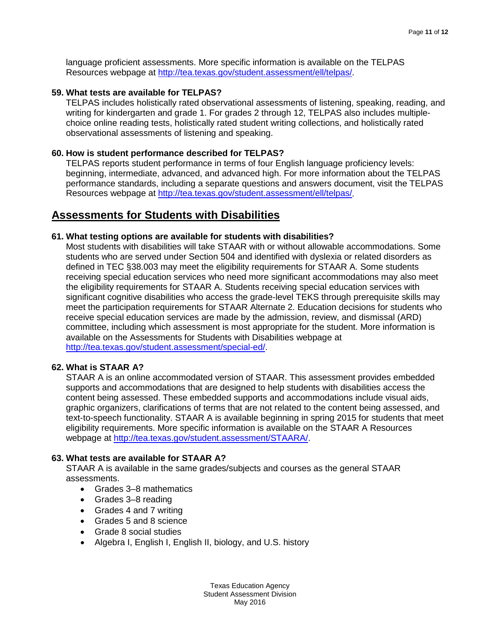language proficient assessments. More specific information is available on the TELPAS Resources webpage at [http://tea.texas.gov/student.assessment/ell/telpas/.](http://tea.texas.gov/student.assessment/ell/telpas/)

#### **59. What tests are available for TELPAS?**

TELPAS includes holistically rated observational assessments of listening, speaking, reading, and writing for kindergarten and grade 1. For grades 2 through 12, TELPAS also includes multiplechoice online reading tests, holistically rated student writing collections, and holistically rated observational assessments of listening and speaking.

### **60. How is student performance described for TELPAS?**

TELPAS reports student performance in terms of four English language proficiency levels: beginning, intermediate, advanced, and advanced high. For more information about the TELPAS performance standards, including a separate questions and answers document, visit the TELPAS Resources webpage at [http://tea.texas.gov/student.assessment/ell/telpas/.](http://tea.texas.gov/student.assessment/ell/telpas/)

## **Assessments for Students with Disabilities**

### **61. What testing options are available for students with disabilities?**

Most students with disabilities will take STAAR with or without allowable accommodations. Some students who are served under Section 504 and identified with dyslexia or related disorders as defined in TEC §38.003 may meet the eligibility requirements for STAAR A. Some students receiving special education services who need more significant accommodations may also meet the eligibility requirements for STAAR A. Students receiving special education services with significant cognitive disabilities who access the grade-level TEKS through prerequisite skills may meet the participation requirements for STAAR Alternate 2. Education decisions for students who receive special education services are made by the admission, review, and dismissal (ARD) committee, including which assessment is most appropriate for the student. More information is available on the Assessments for Students with Disabilities webpage at [http://tea.texas.gov/student.assessment/special-ed/.](http://tea.texas.gov/student.assessment/special-ed/)

#### **62. What is STAAR A?**

STAAR A is an online accommodated version of STAAR. This assessment provides embedded supports and accommodations that are designed to help students with disabilities access the content being assessed. These embedded supports and accommodations include visual aids, graphic organizers, clarifications of terms that are not related to the content being assessed, and text-to-speech functionality. STAAR A is available beginning in spring 2015 for students that meet eligibility requirements. More specific information is available on the STAAR A Resources webpage at [http://tea.texas.gov/student.assessment/STAARA/.](http://tea.texas.gov/student.assessment/STAARA/)

## **63. What tests are available for STAAR A?**

STAAR A is available in the same grades/subjects and courses as the general STAAR assessments.

- Grades 3–8 mathematics
- Grades 3–8 reading
- Grades 4 and 7 writing
- Grades 5 and 8 science
- Grade 8 social studies
- Algebra I, English I, English II, biology, and U.S. history